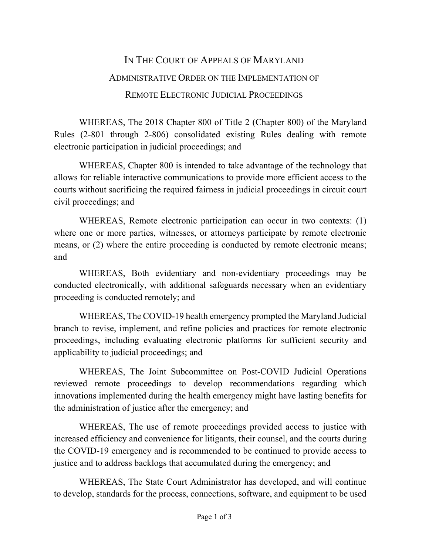## IN THE COURT OF APPEALS OF MARYLAND ADMINISTRATIVE ORDER ON THE IMPLEMENTATION OF REMOTE ELECTRONIC JUDICIAL PROCEEDINGS

WHEREAS, The 2018 Chapter 800 of Title 2 (Chapter 800) of the Maryland Rules (2-801 through 2-806) consolidated existing Rules dealing with remote electronic participation in judicial proceedings; and

WHEREAS, Chapter 800 is intended to take advantage of the technology that allows for reliable interactive communications to provide more efficient access to the courts without sacrificing the required fairness in judicial proceedings in circuit court civil proceedings; and

WHEREAS, Remote electronic participation can occur in two contexts: (1) where one or more parties, witnesses, or attorneys participate by remote electronic means, or (2) where the entire proceeding is conducted by remote electronic means; and

WHEREAS, Both evidentiary and non-evidentiary proceedings may be conducted electronically, with additional safeguards necessary when an evidentiary proceeding is conducted remotely; and

WHEREAS, The COVID-19 health emergency prompted the Maryland Judicial branch to revise, implement, and refine policies and practices for remote electronic proceedings, including evaluating electronic platforms for sufficient security and applicability to judicial proceedings; and

WHEREAS, The Joint Subcommittee on Post-COVID Judicial Operations reviewed remote proceedings to develop recommendations regarding which innovations implemented during the health emergency might have lasting benefits for the administration of justice after the emergency; and

WHEREAS, The use of remote proceedings provided access to justice with increased efficiency and convenience for litigants, their counsel, and the courts during the COVID-19 emergency and is recommended to be continued to provide access to justice and to address backlogs that accumulated during the emergency; and

WHEREAS, The State Court Administrator has developed, and will continue to develop, standards for the process, connections, software, and equipment to be used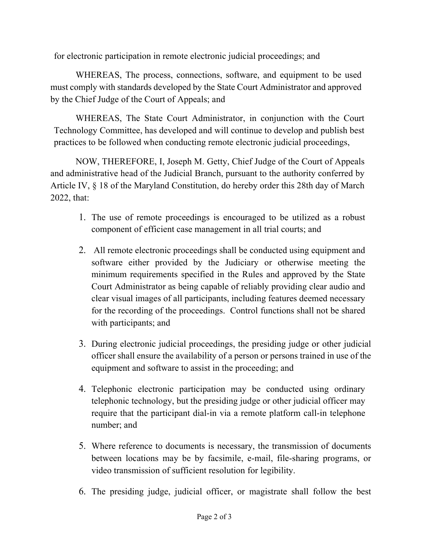for electronic participation in remote electronic judicial proceedings; and

WHEREAS, The process, connections, software, and equipment to be used must comply with standards developed by the State Court Administrator and approved by the Chief Judge of the Court of Appeals; and

WHEREAS, The State Court Administrator, in conjunction with the Court Technology Committee, has developed and will continue to develop and publish best practices to be followed when conducting remote electronic judicial proceedings,

NOW, THEREFORE, I, Joseph M. Getty, Chief Judge of the Court of Appeals and administrative head of the Judicial Branch, pursuant to the authority conferred by Article IV, § 18 of the Maryland Constitution, do hereby order this 28th day of March 2022, that:

- 1. The use of remote proceedings is encouraged to be utilized as a robust component of efficient case management in all trial courts; and
- 2. All remote electronic proceedings shall be conducted using equipment and software either provided by the Judiciary or otherwise meeting the minimum requirements specified in the Rules and approved by the State Court Administrator as being capable of reliably providing clear audio and clear visual images of all participants, including features deemed necessary for the recording of the proceedings. Control functions shall not be shared with participants; and
- 3. During electronic judicial proceedings, the presiding judge or other judicial officer shall ensure the availability of a person or persons trained in use of the equipment and software to assist in the proceeding; and
- 4. Telephonic electronic participation may be conducted using ordinary telephonic technology, but the presiding judge or other judicial officer may require that the participant dial-in via a remote platform call-in telephone number; and
- 5. Where reference to documents is necessary, the transmission of documents between locations may be by facsimile, e-mail, file-sharing programs, or video transmission of sufficient resolution for legibility.
- 6. The presiding judge, judicial officer, or magistrate shall follow the best